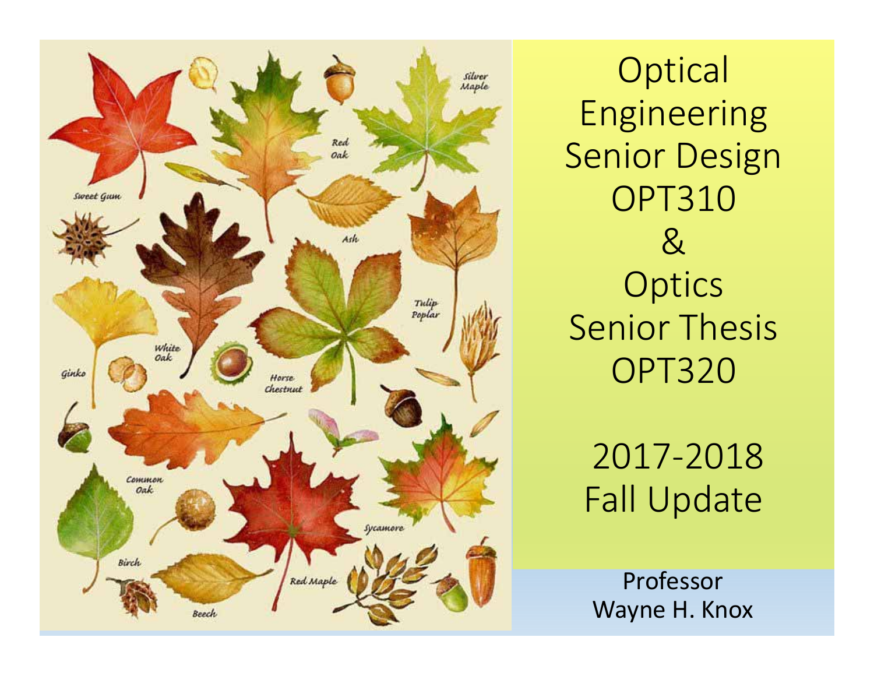

**Optical** Engineering Senior Design OPT310 $8<sup>2</sup>$ **Optics** Senior ThesisOPT320

2017-2018Fall Update

Professor Wayne H. Knox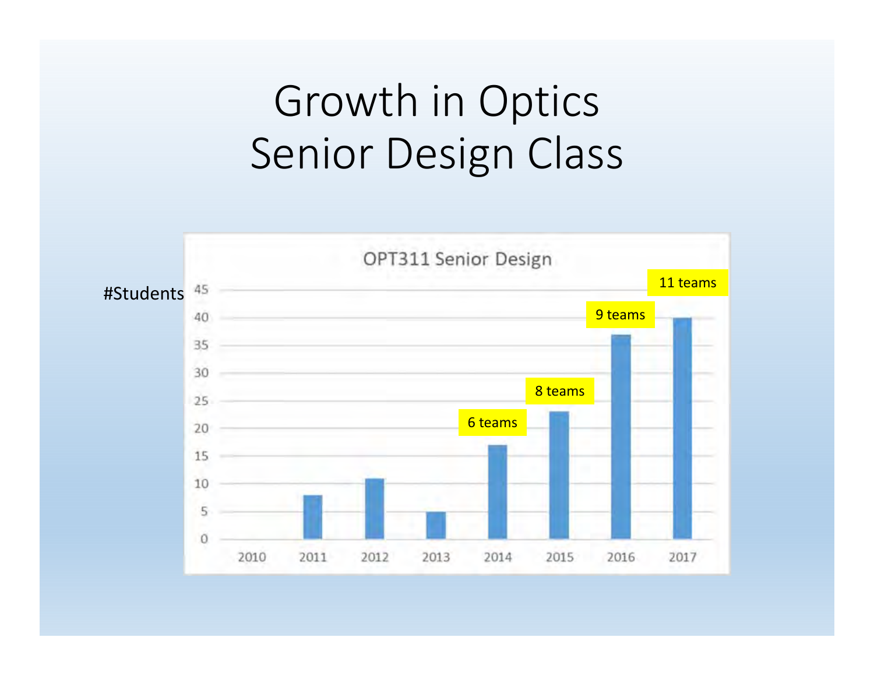# Growth in Optics Senior Design Class

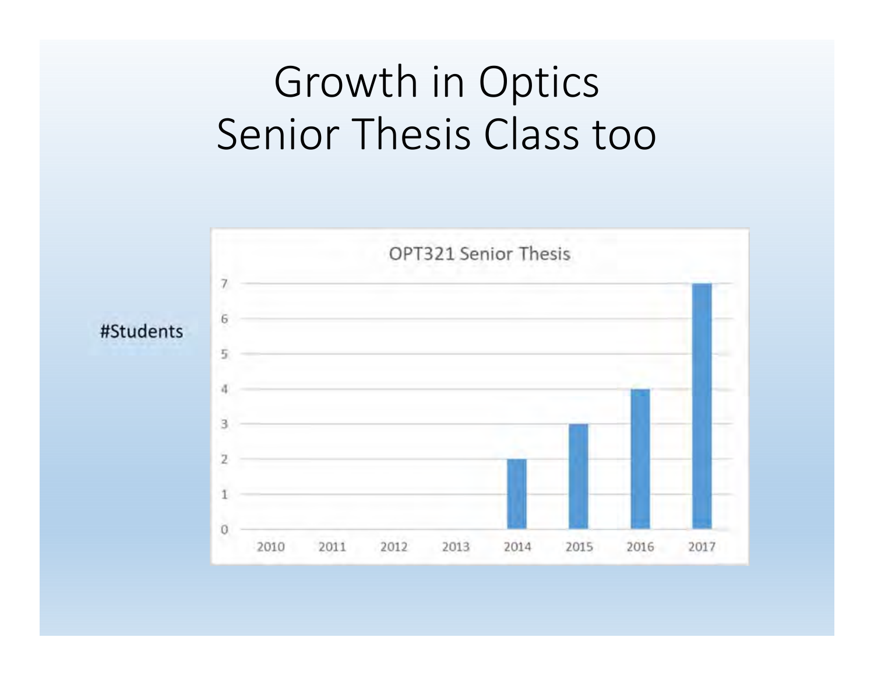# Growth in Optics Senior Thesis Class too

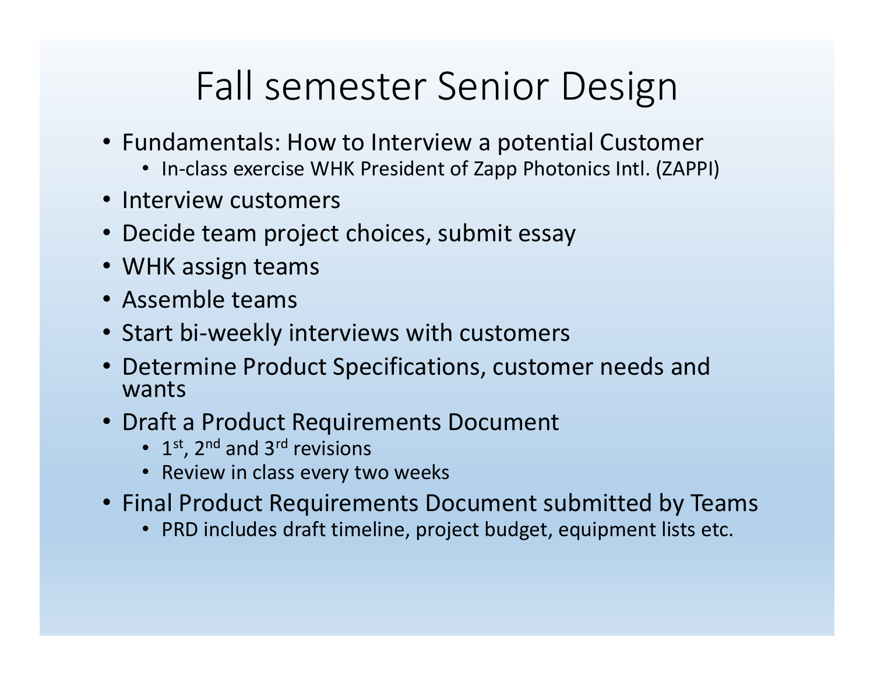#### Fall semester Senior Design

- Fundamentals: How to Interview a potential Customer
	- In-class exercise WHK President of Zapp Photonics Intl. (ZAPPI)
- Interview customers
- Decide team project choices, submit essay
- WHK assign teams
- Assemble teams
- Start bi-weekly interviews with customers
- Determine Product Specifications, customer needs and wants
- Draft a Product Requirements Document
	- 1<sup>st</sup>, 2<sup>nd</sup> and 3<sup>rd</sup> revisions
	- Review in class every two weeks
- Final Product Requirements Document submitted by Teams
	- PRD includes draft timeline, project budget, equipment lists etc.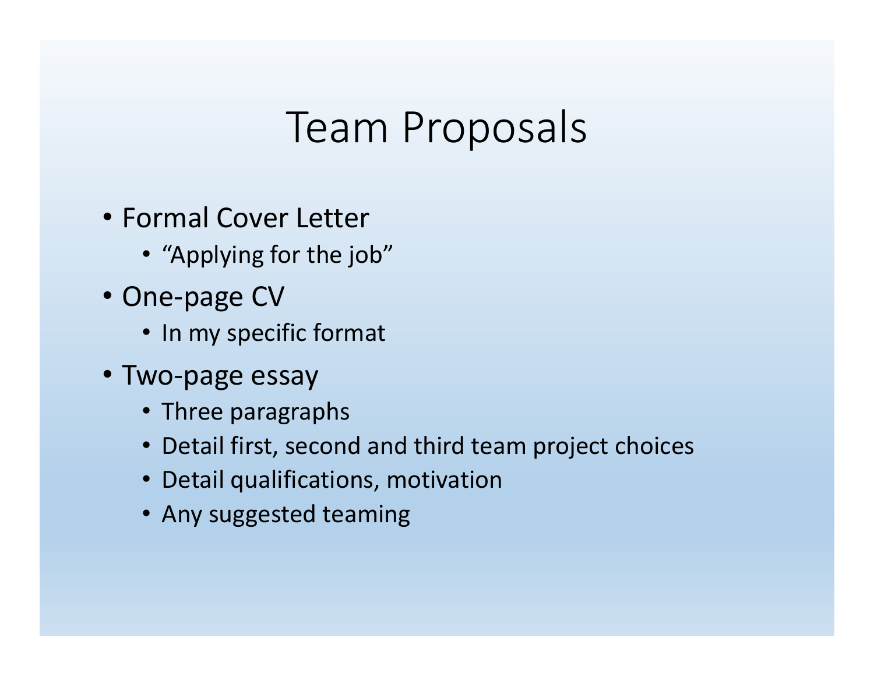#### Team Proposals

- Formal Cover Letter
	- "Applying for the job"
- One-page CV
	- In my specific format
- Two-page essay
	- Three paragraphs
	- Detail first, second and third team project choices
	- Detail qualifications, motivation
	- Any suggested teaming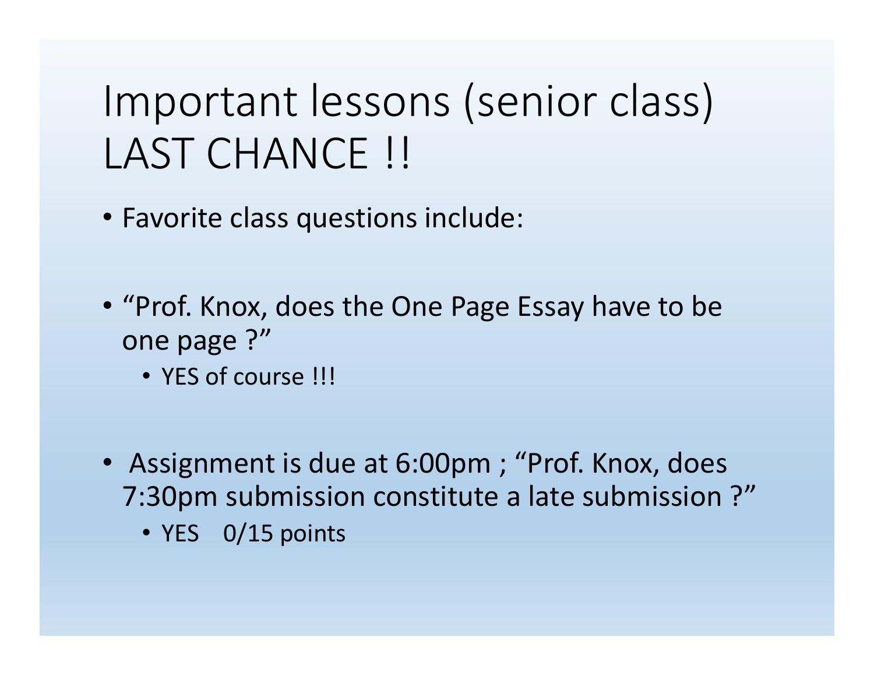# Important lessons (senior class) LAST CHANCE !!

- Favorite class questions include:
- "Prof. Knox, does the One Page Essay have to be one page ?"
	- YES of course !!!
- Assignment is due at 6:00pm ; "Prof. Knox, does 7:30pm submission constitute a late submission ?"
	- YES 0/15 points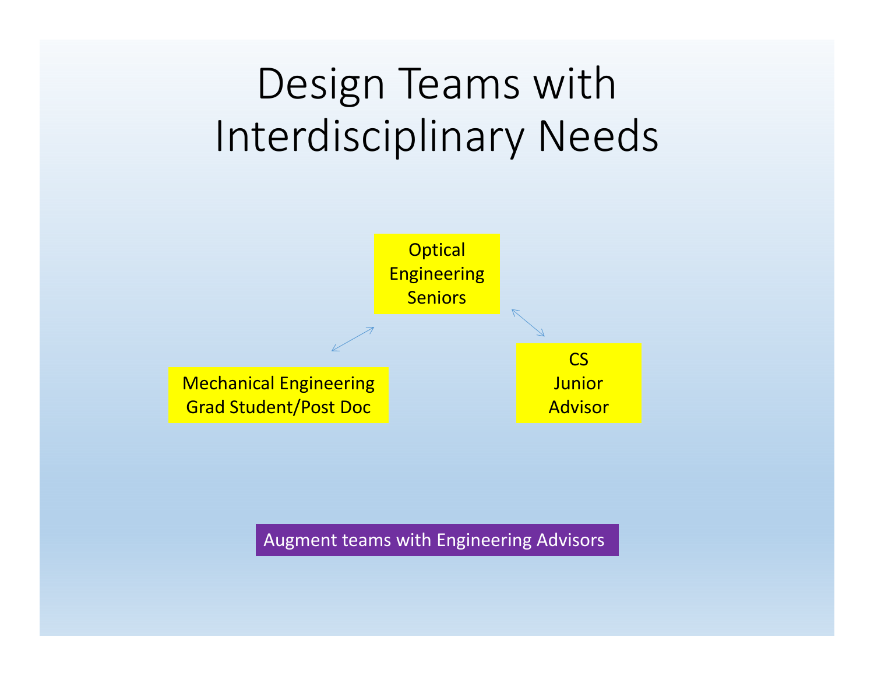# Design Teams with Interdisciplinary Needs



Augment teams with Engineering Advisors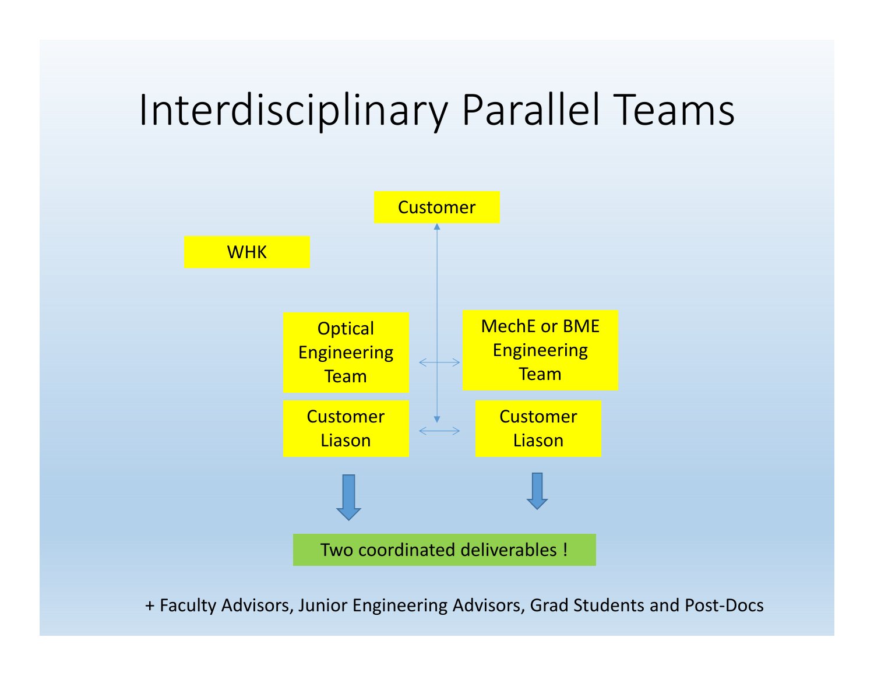### Interdisciplinary Parallel Teams



+ Faculty Advisors, Junior Engineering Advisors, Grad Students and Post-Docs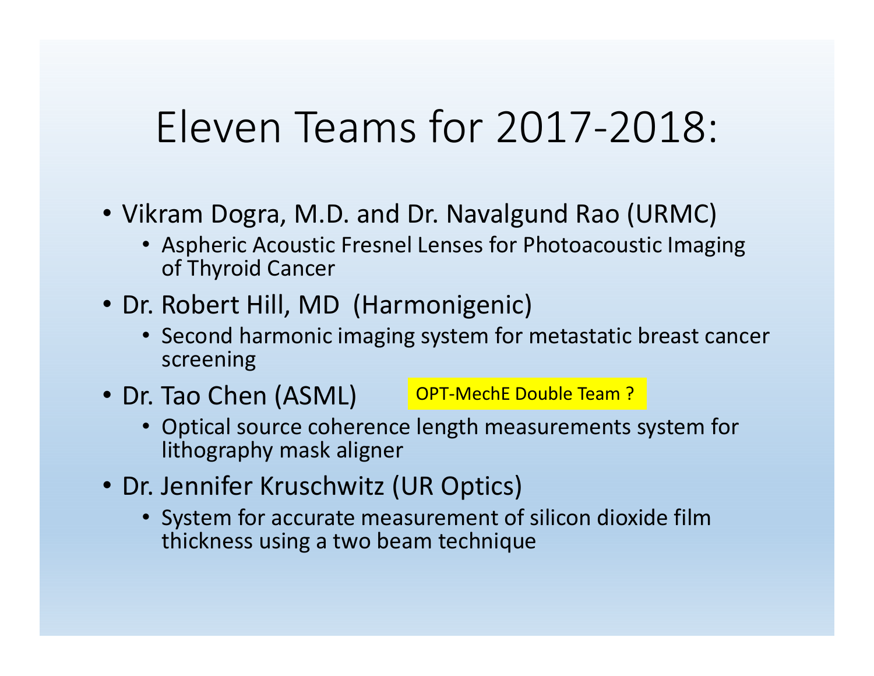#### Eleven Teams for 2017-2018:

- Vikram Dogra, M.D. and Dr. Navalgund Rao (URMC)
	- Aspheric Acoustic Fresnel Lenses for Photoacoustic Imaging of Thyroid Cancer
- Dr. Robert Hill, MD (Harmonigenic)
	- Second harmonic imaging system for metastatic breast cancer screening
- Dr. Tao Chen (ASML) OPT-MechE Double Team ?
	- Optical source coherence length measurements system for lithography mask aligner
- Dr. Jennifer Kruschwitz (UR Optics)
	- System for accurate measurement of silicon dioxide film thickness using a two beam technique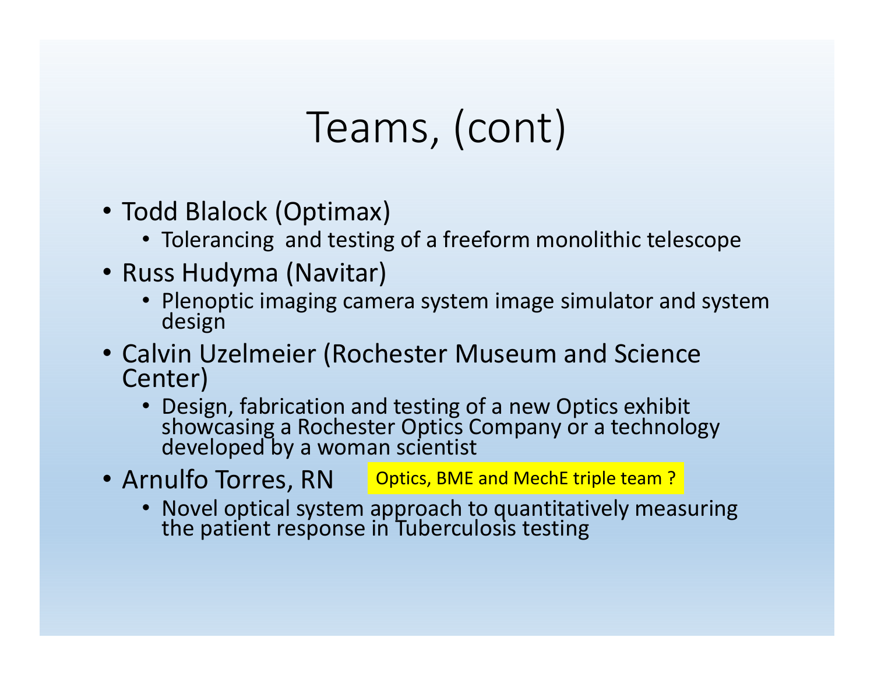#### Teams, (cont)

- Todd Blalock (Optimax)
	- Tolerancing and testing of a freeform monolithic telescope
- Russ Hudyma (Navitar)
	- Plenoptic imaging camera system image simulator and system design
- Calvin Uzelmeier (Rochester Museum and Science Center)
	- Design, fabrication and testing of a new Optics exhibit showcasing a Rochester Optics Company or a technology developed by a woman scientist
- Arnulfo Torres, RN Optics, BME and MechE triple team ?
	- Novel optical system approach to quantitatively measuring<br>the patient response in Tuberculosis testing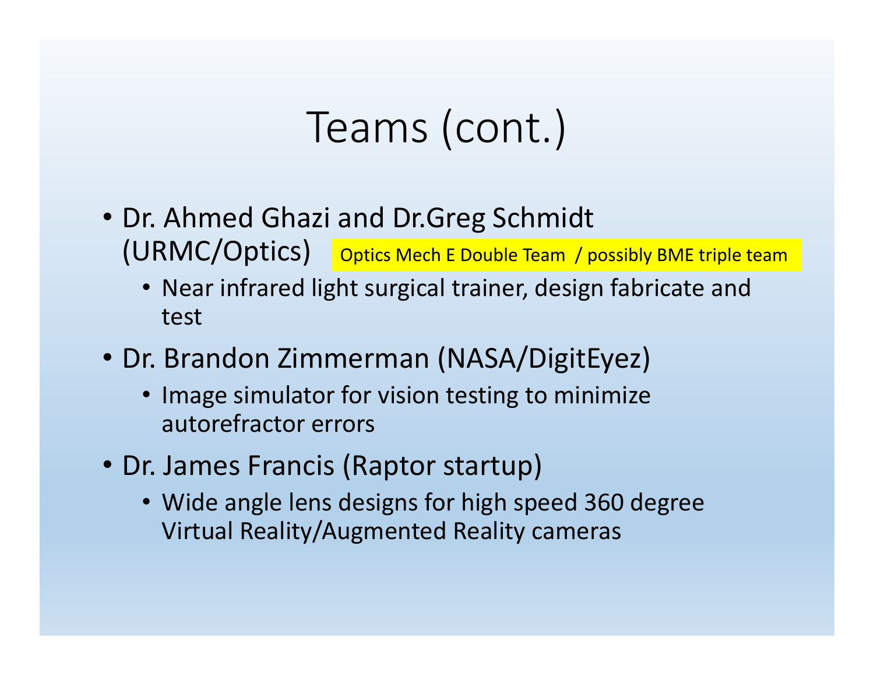### Teams (cont.)

- Dr. Ahmed Ghazi and Dr.Greg Schmidt (URMC/Optics) Optics Mech E Double Team / possibly BME triple team
	- Near infrared light surgical trainer, design fabricate and test
- Dr. Brandon Zimmerman (NASA/DigitEyez)
	- Image simulator for vision testing to minimize autorefractor errors
- Dr. James Francis (Raptor startup)
	- Wide angle lens designs for high speed 360 degree Virtual Reality/Augmented Reality cameras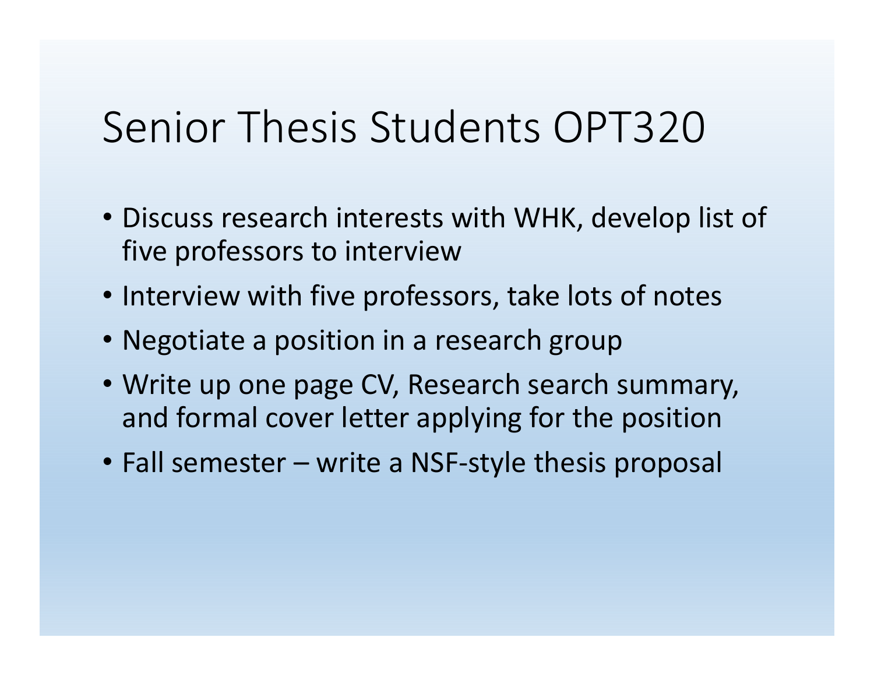#### Senior Thesis Students OPT320

- Discuss research interests with WHK, develop list of five professors to interview
- Interview with five professors, take lots of notes
- Negotiate a position in a research group
- Write up one page CV, Research search summary, and formal cover letter applying for the position
- Fall semester write a NSF-style thesis proposal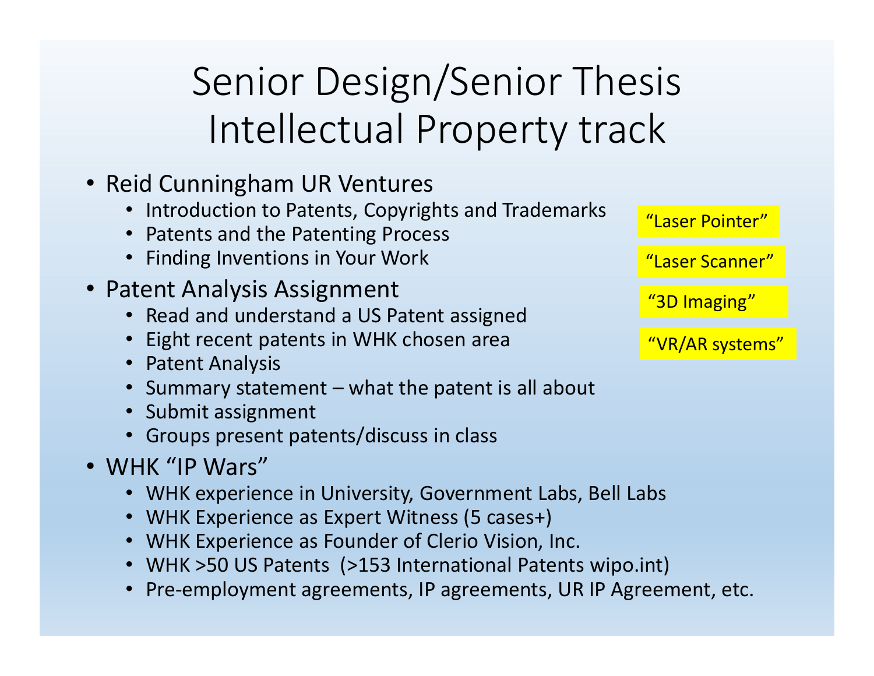# Senior Design/Senior Thesis Intellectual Property track

- Reid Cunningham UR Ventures
	- Introduction to Patents, Copyrights and Trademarks
	- Patents and the Patenting Process
	- Finding Inventions in Your Work
- Patent Analysis Assignment
	- Read and understand a US Patent assigned
	- Eight recent patents in WHK chosen area
	- Patent Analysis
	- Summary statement what the patent is all about
	- Submit assignment
	- Groups present patents/discuss in class
- WHK "IP Wars"
	- WHK experience in University, Government Labs, Bell Labs
	- WHK Experience as Expert Witness (5 cases+)
	- WHK Experience as Founder of Clerio Vision, Inc.
	- WHK >50 US Patents (>153 International Patents wipo.int)
	- Pre-employment agreements, IP agreements, UR IP Agreement, etc.

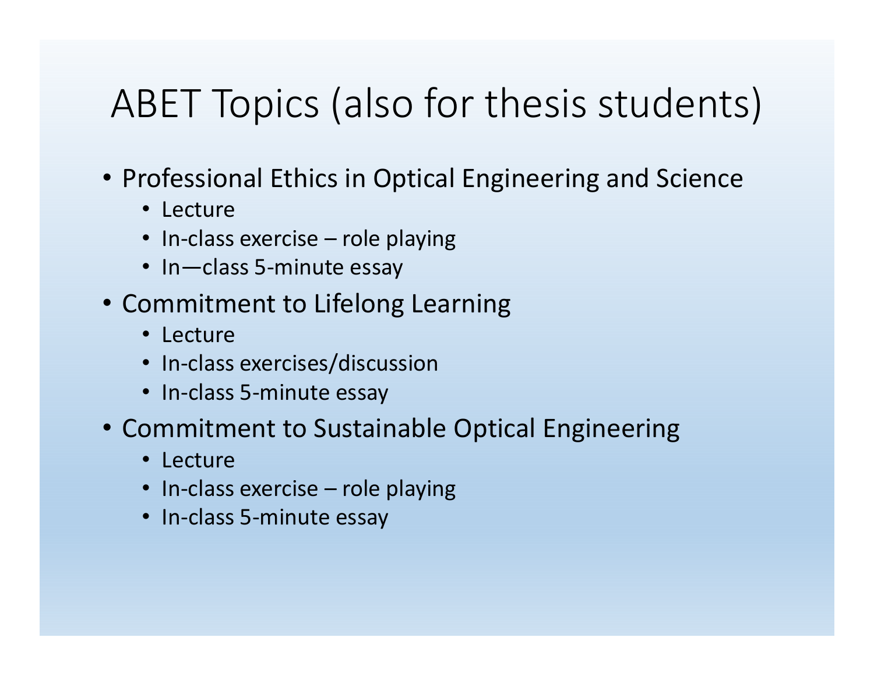#### ABET Topics (also for thesis students)

- Professional Ethics in Optical Engineering and Science
	- Lecture
	- In-class exercise role playing
	- In—class 5-minute essay
- Commitment to Lifelong Learning
	- Lecture
	- In-class exercises/discussion
	- In-class 5-minute essay
- Commitment to Sustainable Optical Engineering
	- Lecture
	- In-class exercise role playing
	- In-class 5-minute essay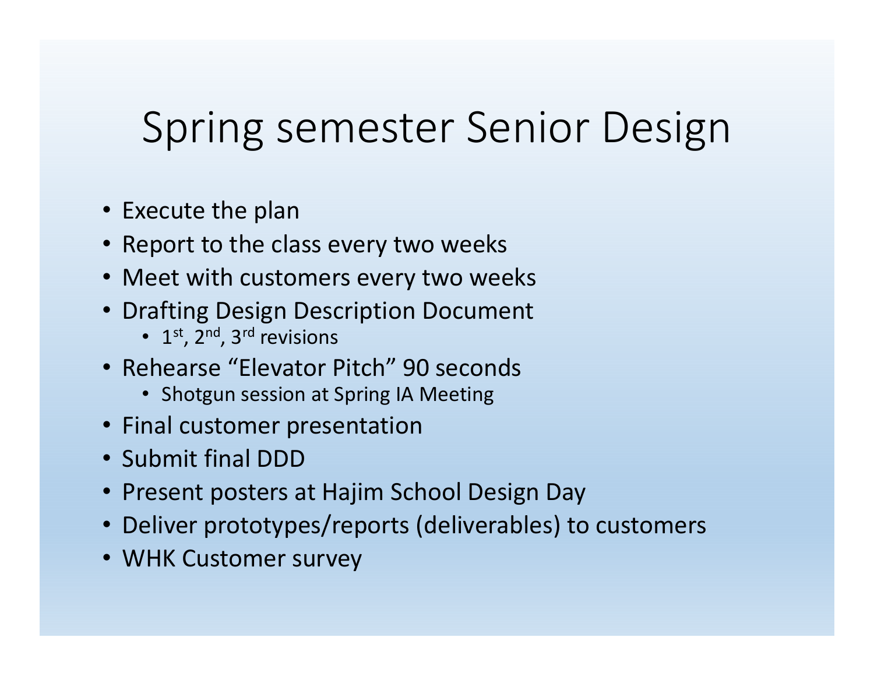#### Spring semester Senior Design

- Execute the plan
- Report to the class every two weeks
- Meet with customers every two weeks
- Drafting Design Description Document
	- $1^{st}$ ,  $2^{nd}$ ,  $3^{rd}$  revisions
- Rehearse "Elevator Pitch" 90 seconds
	- Shotgun session at Spring IA Meeting
- Final customer presentation
- Submit final DDD
- Present posters at Hajim School Design Day
- Deliver prototypes/reports (deliverables) to customers
- WHK Customer survey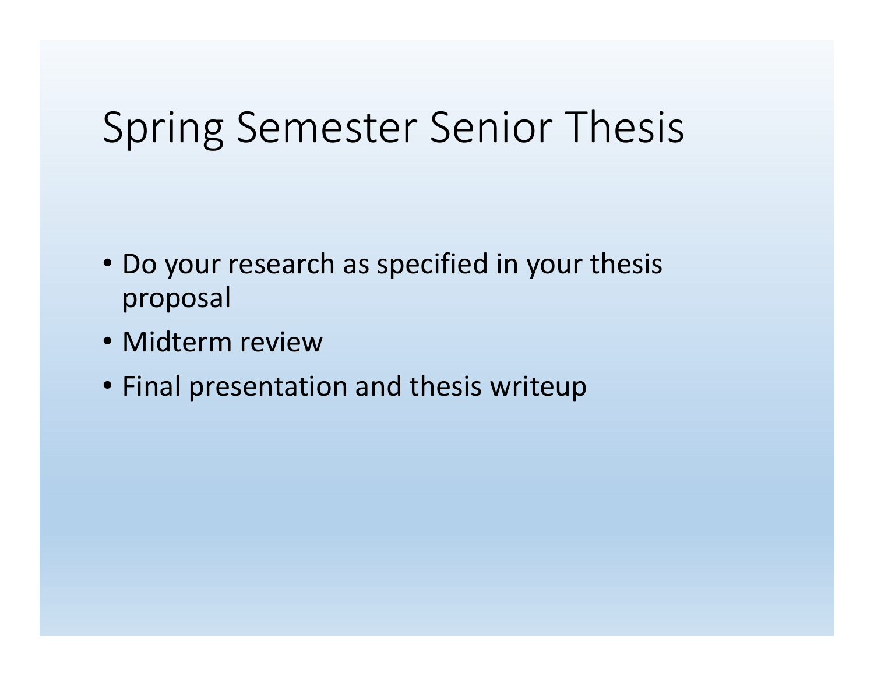# Spring Semester Senior Thesis

- Do your research as specified in your thesis proposal
- Midterm review
- Final presentation and thesis writeup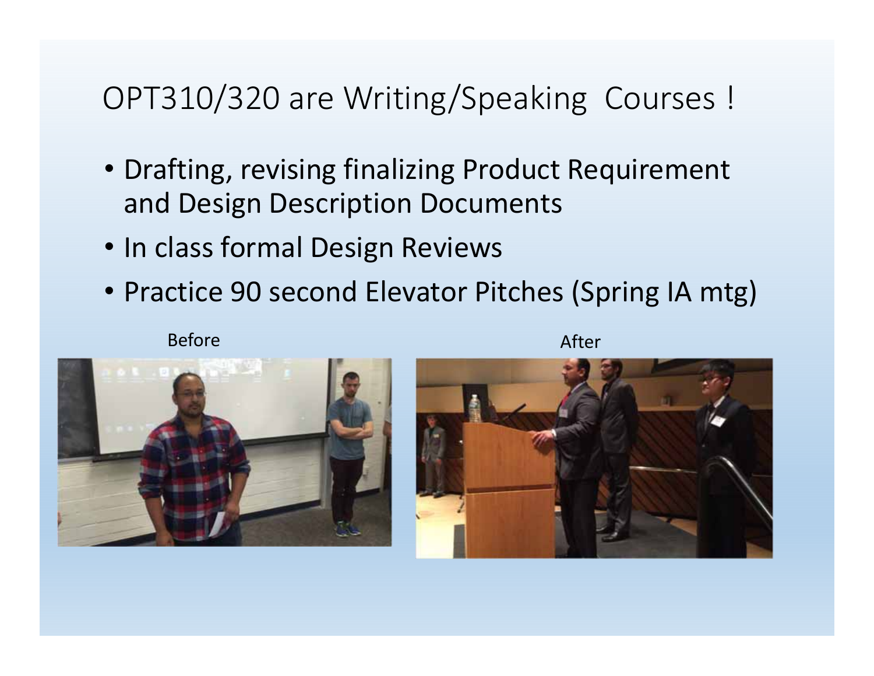#### OPT310/320 are Writing/Speaking Courses !

- Drafting, revising finalizing Product Requirement and Design Description Documents
- In class formal Design Reviews
- Practice 90 second Elevator Pitches (Spring IA mtg)

Before





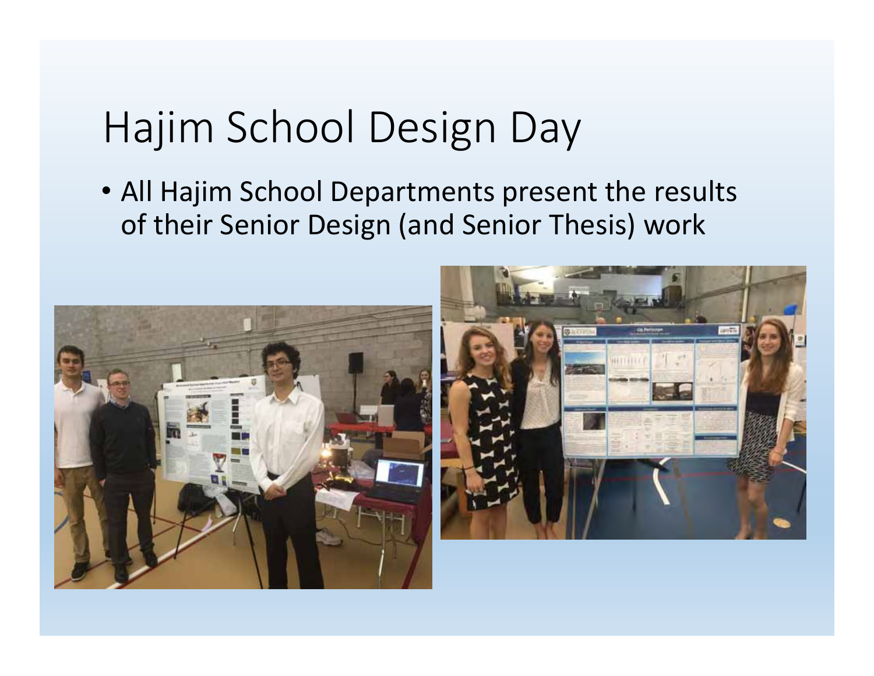## Hajim School Design Day

• All Hajim School Departments present the results of their Senior Design (and Senior Thesis) work



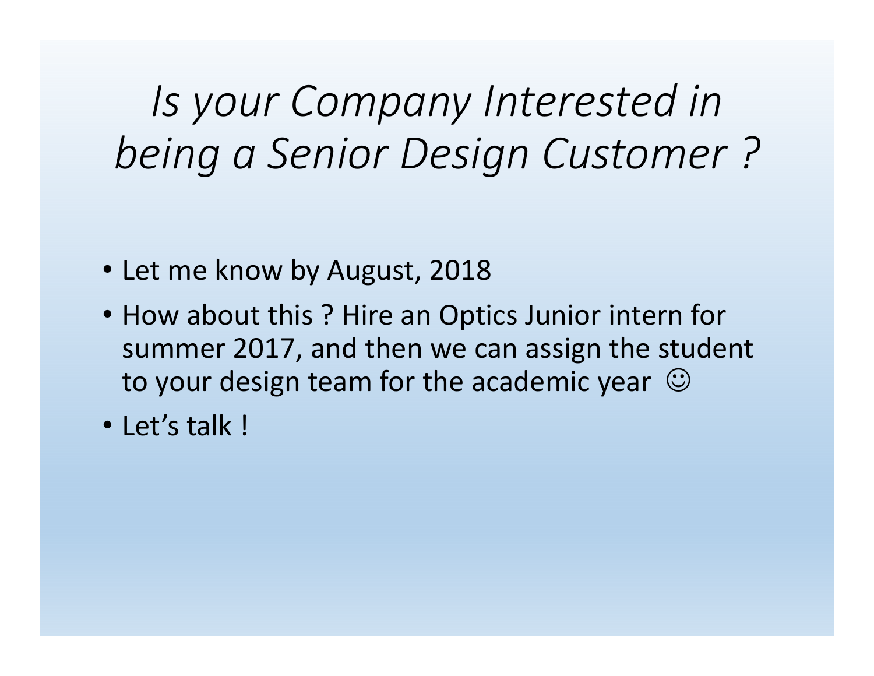# *Is your Company Interested in being a Senior Design Customer ?*

- Let me know by August, 2018
- How about this ? Hire an Optics Junior intern for summer 2017, and then we can assign the student to your design team for the academic year  $~\odot$
- Let's talk !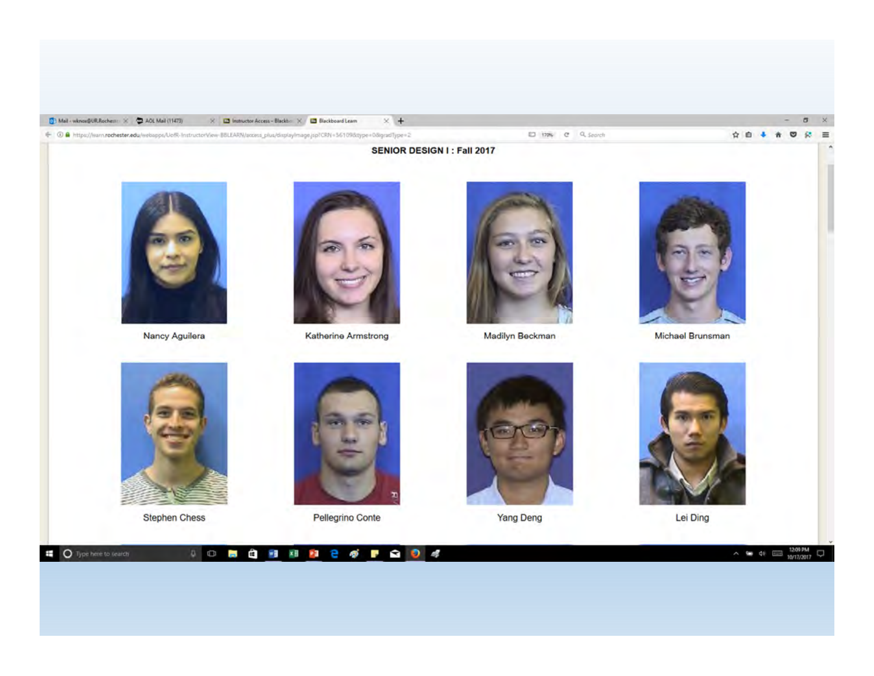| Mail - wknow@UR.Rochester X C AOL Mail (11473)<br>X <b>□</b> Instructor Access - Blackbox X / □ Blackboard Learn X +          |                    |         |
|-------------------------------------------------------------------------------------------------------------------------------|--------------------|---------|
| .///warn. <b>rochester.edu</b> /webapps/UofR-InstructorView-BBLEARN/access_plus/displayImage.jsp?CRN=56109&type=0&igrad1ype=2 | L3 170% C Q Search | ☆白↓★▽☆三 |

**SENIOR DESIGN I: Fall 2017** 



Nancy Aguilera



Katherine Armstrong



Madilyn Beckman



Michael Brunsman



**Stephen Chess** 



Pellegrino Conte



Yang Deng



Lei Ding

O Type here to tearch **CHURC 6 F G D 4**  $0$   $\Box$ in.

 $\sim$   $\approx$   $\approx$   $\approx$   $\frac{1209 \text{ PM}}{10/17/2017}$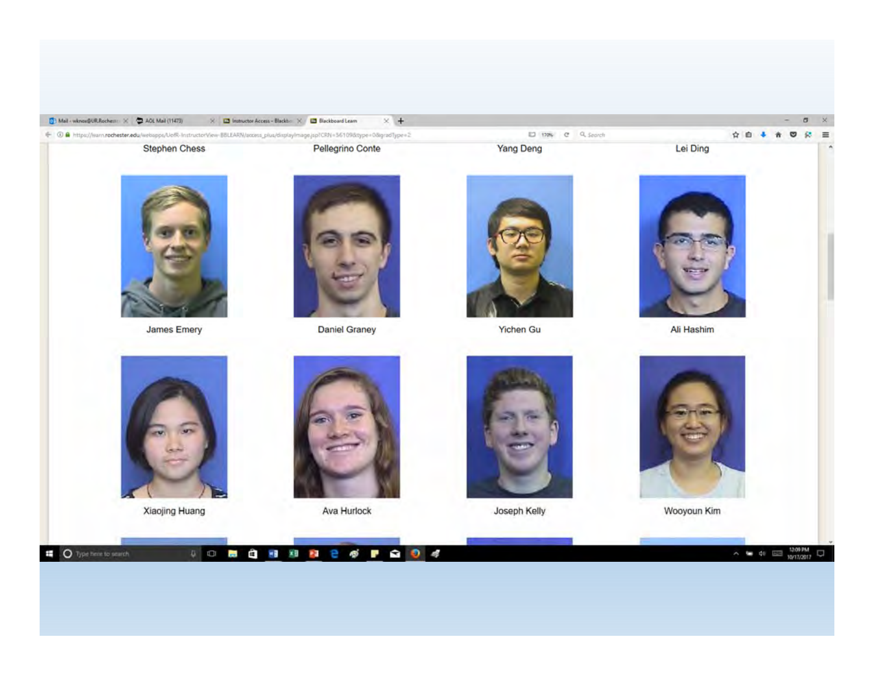| Neil - wknox@UR.Rochester X 2 AOL Mail (11473)                                                                                | $\times$ +<br>X 2 Instructor Access - Blackbox X 2 Blackboard Learn |                  |             | σ       |          |
|-------------------------------------------------------------------------------------------------------------------------------|---------------------------------------------------------------------|------------------|-------------|---------|----------|
| € © ● https://warn.rochester.edu/webapps/UofR-InstructorView-BBLEARN/access_plua/displayImage.jsp?CRN=56109&type=0&gradType=2 |                                                                     | 170% C Q Search  | ☆ 白 ↓<br>n. | ಀ<br>S. | $\equiv$ |
| <b>Stephen Chess</b>                                                                                                          | Pellegrino Conte                                                    | <b>Yang Deng</b> | Lei Ding    |         |          |
|                                                                                                                               |                                                                     |                  |             |         |          |
| James Emery                                                                                                                   | <b>Daniel Graney</b>                                                | Yichen Gu        | Ali Hashim  |         |          |

James Emery

Xiaojing Huang

**Daniel Graney** 

Ava Hurlock



Joseph Kelly



Wooyoun Kim

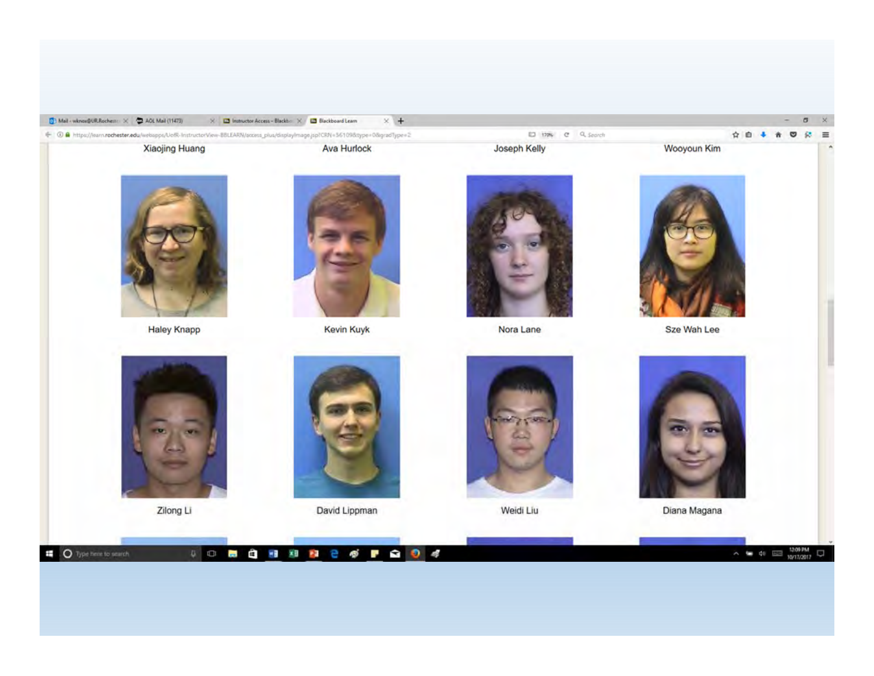| The Mail - wknow@UR.Rochester X 2 AOL Mail (11473)                                                                            | X C Instructor Access - Blackbox X C Blackboard Learn<br>$\times$ + |                    |             |         |         |            |                       |
|-------------------------------------------------------------------------------------------------------------------------------|---------------------------------------------------------------------|--------------------|-------------|---------|---------|------------|-----------------------|
| + O & https://warn.rochester.edu/webapps/UofR-InstructorView-BBLEARN/access_plus/displayImage.jsp?CRN=56109&type=0&grad1ype=2 |                                                                     | EJ 170% C Q Search |             | ☆ 白 ↓ 含 | $\circ$ | $\kappa =$ |                       |
| <b>Xiaojing Huang</b>                                                                                                         | Ava Hurlock                                                         | Joseph Kelly       | Wooyoun Kim |         |         |            | $\boldsymbol{\kappa}$ |
|                                                                                                                               |                                                                     |                    |             |         |         |            |                       |
|                                                                                                                               |                                                                     |                    |             |         |         |            |                       |





Zilong Li



Kevin Kuyk

David Lippman



Nora Lane

Weidi Liu



Diana Magana

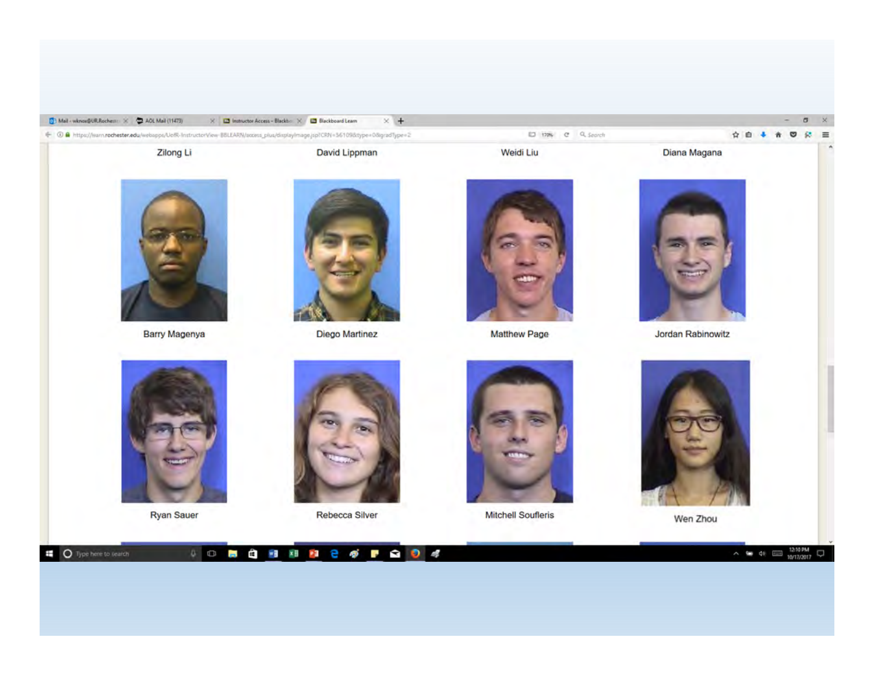| D Mail - wknow@UR.Rochester X D AOL Mail (11473)<br>X D Instructor Access - Blackbo: X<br>6 0 https://warn.rochester.edu/webapps/UofR-InstructorView-BBLEARN/access_plus/displayImage.jsp?CRN=561098type=08gradType=2 | Blackboard Learn<br>$\times$ + | EJ 170% C Q Search | 音四<br>宜      |
|-----------------------------------------------------------------------------------------------------------------------------------------------------------------------------------------------------------------------|--------------------------------|--------------------|--------------|
| Zilong Li                                                                                                                                                                                                             | David Lippman                  | Weidi Liu          | Diana Magana |
|                                                                                                                                                                                                                       |                                |                    |              |
|                                                                                                                                                                                                                       |                                |                    |              |

Barry Magenya



Diego Martinez



Matthew Page



Jordan Rabinowitz



Ryan Sauer



Rebecca Silver



Mitchell Soufleris



Wen Zhou

O Type here to search 



 $\sigma$  x 8 三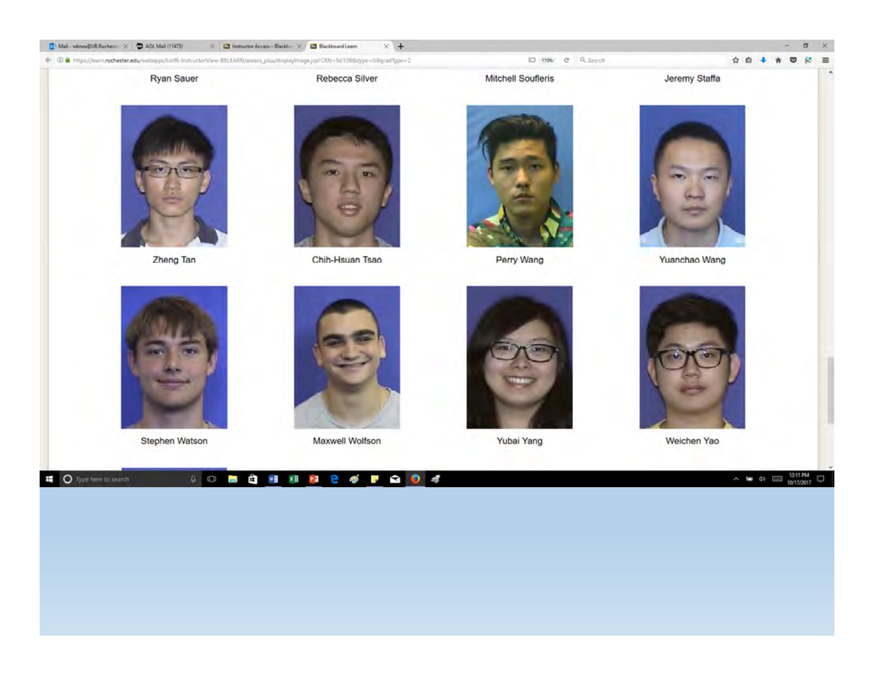



Zheng Tan



Chih-Hsuan Tsao



Perry Wang



Yuanchao Wang



Stephen Watson

 $0$   $\Box$ 

 $\overline{\phantom{a}}$ 

C Type here to search



**Maxwell Wolfson** 

**22 e o** 

EX WE XE

 $P \cong 04$ 



Yubai Yang



Weichen Yao

 $\sim$  % 40  $\equiv$  1211 PM

O